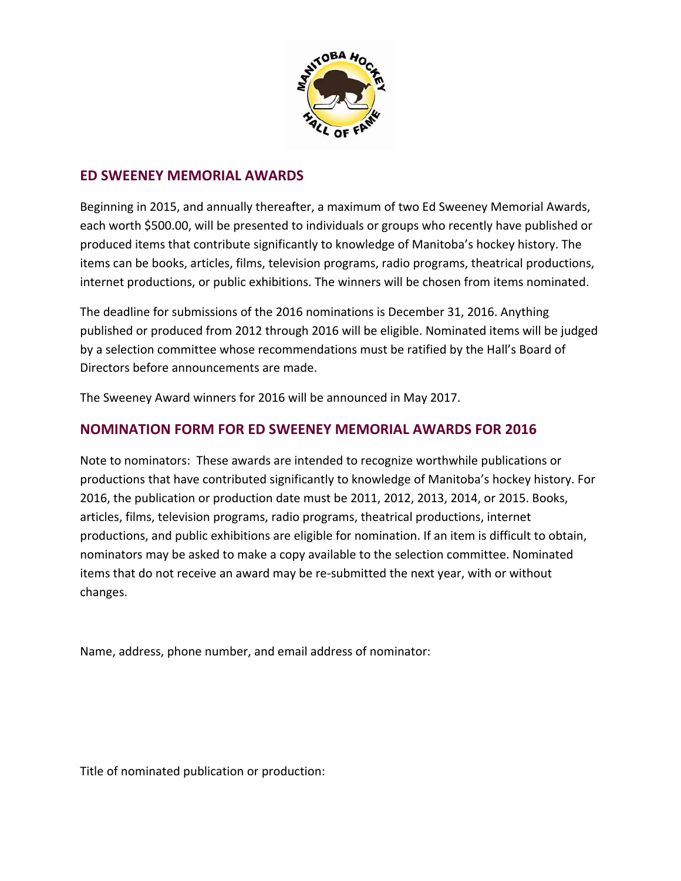

## **ED SWEENEY MEMORIAL AWARDS**

Beginning in 2015, and annually thereafter, a maximum of two Ed Sweeney Memorial Awards, each worth \$500.00, will be presented to individuals or groups who recently have published or produced items that contribute significantly to knowledge of Manitoba's hockey history. The items can be books, articles, films, television programs, radio programs, theatrical productions, internet productions, or public exhibitions. The winners will be chosen from items nominated.

The deadline for submissions of the 2016 nominations is December 31, 2016. Anything published or produced from 2012 through 2016 will be eligible. Nominated items will be judged by a selection committee whose recommendations must be ratified by the Hall's Board of Directors before announcements are made.

The Sweeney Award winners for 2016 will be announced in May 2017.

## **NOMINATION FORM FOR ED SWEENEY MEMORIAL AWARDS FOR 2016**

Note to nominators: These awards are intended to recognize worthwhile publications or productions that have contributed significantly to knowledge of Manitoba's hockey history. For 2016, the publication or production date must be 2011, 2012, 2013, 2014, or 2015. Books, articles, films, television programs, radio programs, theatrical productions, internet productions, and public exhibitions are eligible for nomination. If an item is difficult to obtain, nominators may be asked to make a copy available to the selection committee. Nominated items that do not receive an award may be re‐submitted the next year, with or without changes.

Name, address, phone number, and email address of nominator:

Title of nominated publication or production: